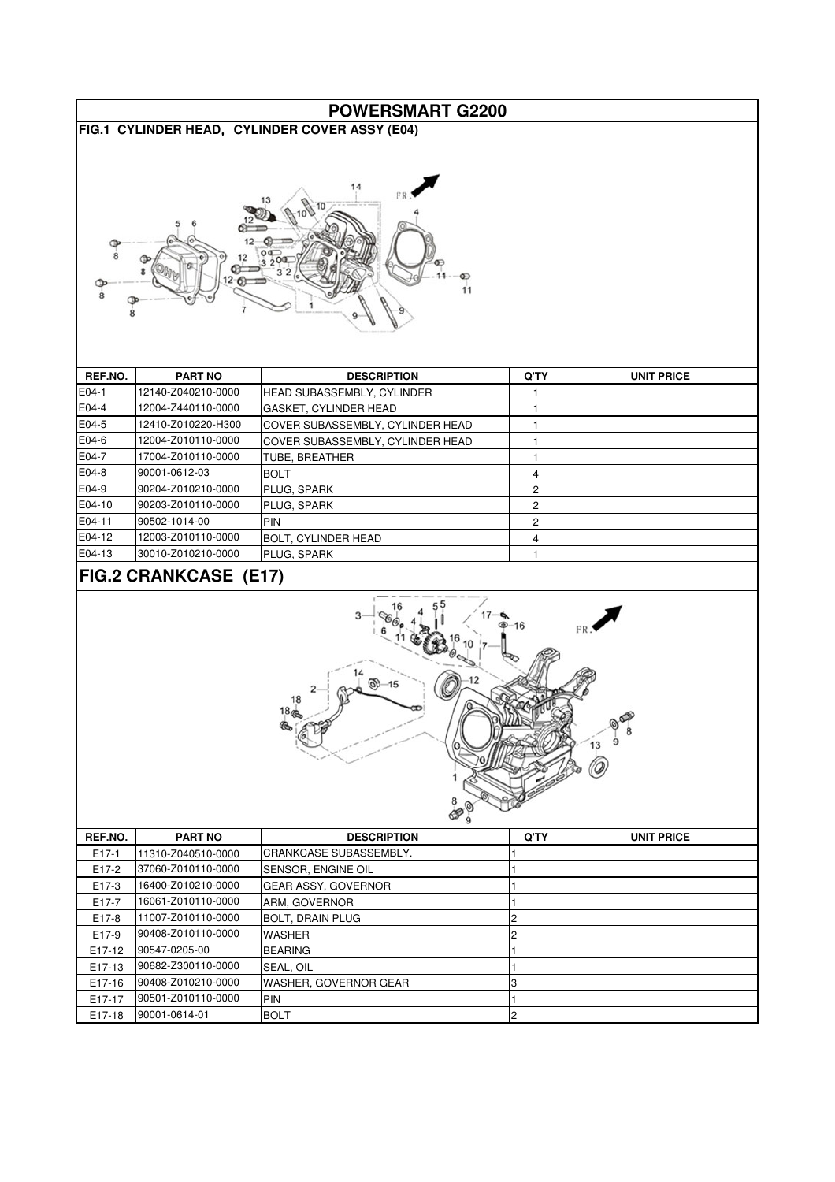| <b>POWERSMART G2200</b>                                                                                 |                                          |                                                     |                         |                   |
|---------------------------------------------------------------------------------------------------------|------------------------------------------|-----------------------------------------------------|-------------------------|-------------------|
|                                                                                                         |                                          |                                                     |                         |                   |
| FIG.1 CYLINDER HEAD, CYLINDER COVER ASSY (E04)<br>11                                                    |                                          |                                                     |                         |                   |
| REF.NO.                                                                                                 | <b>PART NO</b>                           | <b>DESCRIPTION</b>                                  | Q'TY                    | <b>UNIT PRICE</b> |
| E04-1                                                                                                   | 12140-Z040210-0000                       |                                                     |                         |                   |
| E04-4                                                                                                   | 12004-Z440110-0000                       | HEAD SUBASSEMBLY, CYLINDER<br>GASKET, CYLINDER HEAD | 1                       |                   |
| E04-5                                                                                                   | 12410-Z010220-H300                       |                                                     | 1                       |                   |
|                                                                                                         |                                          | COVER SUBASSEMBLY, CYLINDER HEAD                    | 1                       |                   |
| E04-6                                                                                                   | 12004-Z010110-0000<br>17004-Z010110-0000 | COVER SUBASSEMBLY, CYLINDER HEAD                    | 1                       |                   |
| E04-7                                                                                                   |                                          | TUBE, BREATHER                                      | 1                       |                   |
| E04-8                                                                                                   | 90001-0612-03                            | <b>BOLT</b>                                         | 4                       |                   |
| E04-9                                                                                                   | 90204-Z010210-0000                       | PLUG, SPARK                                         | 2                       |                   |
| E04-10                                                                                                  | 90203-Z010110-0000                       | PLUG, SPARK                                         | 2                       |                   |
| E04-11                                                                                                  | 90502-1014-00                            | PIN                                                 | $\overline{c}$          |                   |
| E04-12                                                                                                  | 12003-Z010110-0000                       | <b>BOLT, CYLINDER HEAD</b>                          | 4                       |                   |
| E04-13                                                                                                  | 30010-Z010210-0000                       | PLUG, SPARK                                         | $\mathbf{1}$            |                   |
| <b>FIG.2 CRANKCASE (E17)</b><br>$\circledcirc$ 15<br>18<br>18 <sub>q</sub><br>$\circledcirc$<br>8<br>13 |                                          |                                                     |                         |                   |
| REF.NO.                                                                                                 | <b>PART NO</b>                           | <b>DESCRIPTION</b>                                  | Q'TY                    | <b>UNIT PRICE</b> |
| $E17-1$                                                                                                 | 11310-Z040510-0000                       | CRANKCASE SUBASSEMBLY.                              | 1                       |                   |
| E17-2                                                                                                   | 37060-Z010110-0000                       | SENSOR, ENGINE OIL                                  | 1                       |                   |
| E17-3                                                                                                   | 16400-Z010210-0000                       | GEAR ASSY, GOVERNOR                                 | 1                       |                   |
| E17-7                                                                                                   | 16061-Z010110-0000                       | ARM, GOVERNOR                                       | 1                       |                   |
| E17-8                                                                                                   | 11007-Z010110-0000                       | <b>BOLT, DRAIN PLUG</b>                             | 2                       |                   |
| E17-9                                                                                                   | 90408-Z010110-0000                       | WASHER                                              | $\overline{c}$          |                   |
| E17-12                                                                                                  | 90547-0205-00                            | <b>BEARING</b>                                      | 1                       |                   |
| E17-13                                                                                                  | 90682-Z300110-0000                       | SEAL, OIL                                           | 1                       |                   |
|                                                                                                         | 90408-Z010210-0000                       |                                                     |                         |                   |
| E17-16                                                                                                  |                                          | WASHER, GOVERNOR GEAR                               | 3                       |                   |
| E17-17                                                                                                  | 90501-Z010110-0000                       | <b>PIN</b>                                          | 1                       |                   |
| E17-18                                                                                                  | 90001-0614-01                            | <b>BOLT</b>                                         | $\overline{\mathbf{c}}$ |                   |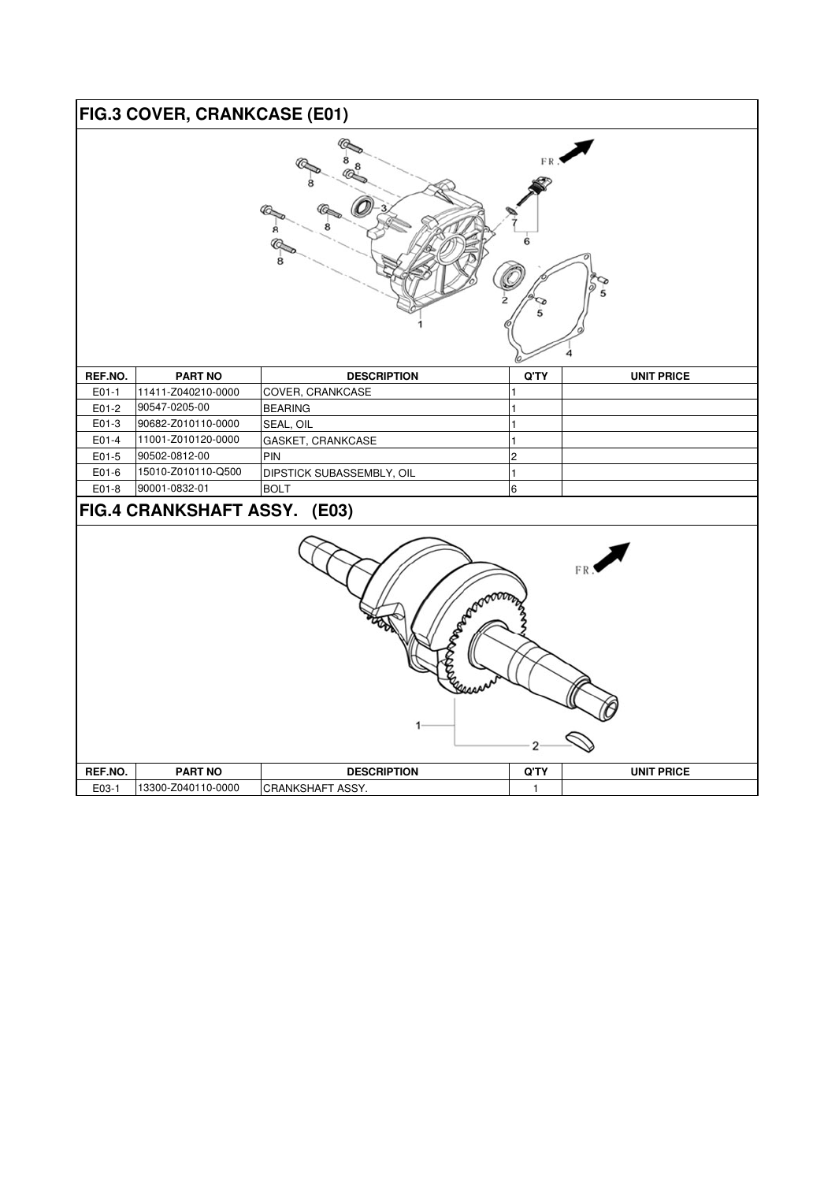## **FIG.3 COVER, CRANKCASE (E01)**

| FR.<br>5                                          |                    |                           |                |                   |
|---------------------------------------------------|--------------------|---------------------------|----------------|-------------------|
| REF.NO.                                           | <b>PART NO</b>     | <b>DESCRIPTION</b>        | $Q^{\prime}TY$ | <b>UNIT PRICE</b> |
| $E01-1$                                           | 11411-Z040210-0000 | COVER, CRANKCASE          |                |                   |
| E01-2                                             | 90547-0205-00      | <b>BEARING</b>            |                |                   |
| E01-3                                             | 90682-Z010110-0000 | SEAL, OIL                 |                |                   |
| E01-4                                             | 11001-Z010120-0000 | GASKET, CRANKCASE         |                |                   |
| E01-5                                             | 90502-0812-00      | PIN                       | 2              |                   |
| E01-6                                             | 15010-Z010110-Q500 | DIPSTICK SUBASSEMBLY, OIL | 1              |                   |
| E01-8                                             | 90001-0832-01      | <b>BOLT</b>               | 6              |                   |
| FIG.4 CRANKSHAFT ASSY. (E03)<br>FR:<br><b>ARO</b> |                    |                           |                |                   |
| REF.NO.                                           | <b>PART NO</b>     | <b>DESCRIPTION</b>        | $Q^{\prime}TY$ | <b>UNIT PRICE</b> |
| E03-1                                             | 13300-Z040110-0000 | CRANKSHAFT ASSY.          | $\mathbf{1}$   |                   |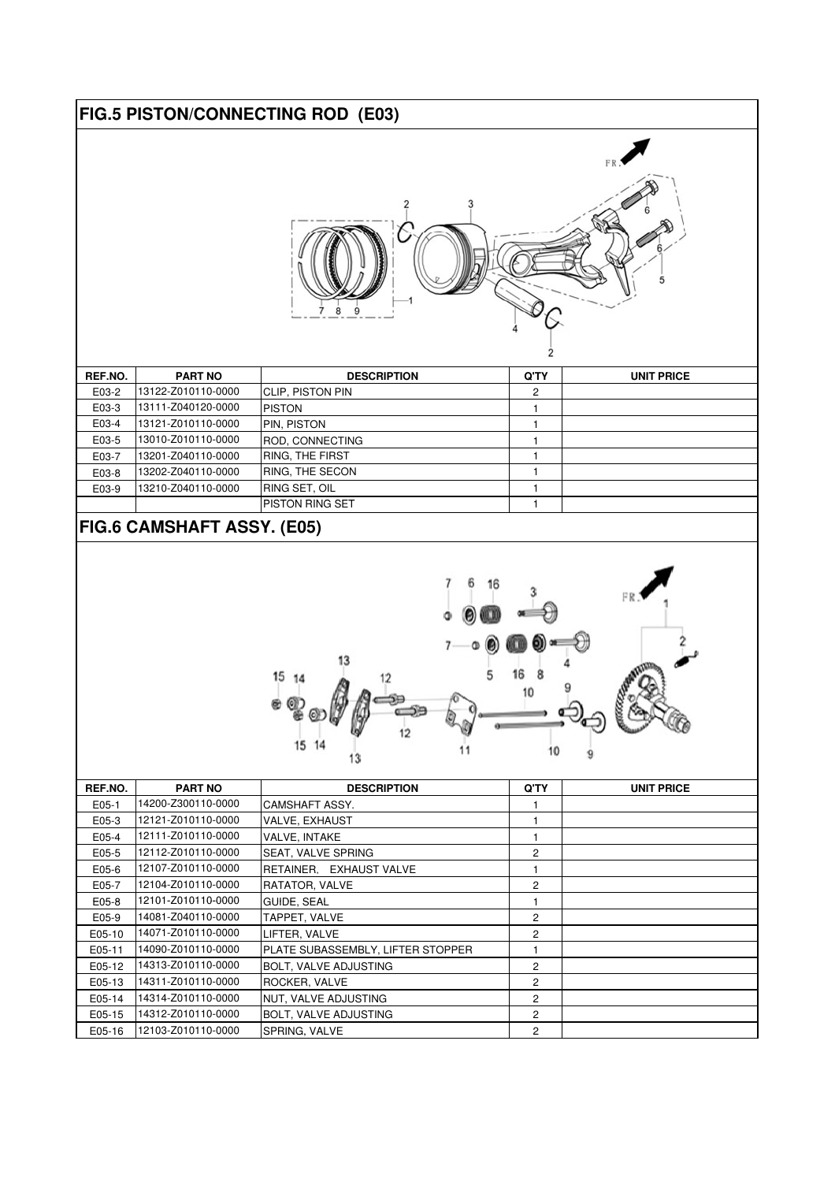#### **FIG.5 PISTON/CONNECTING ROD (E03)**



| REF.NO. | <b>PART NO</b>     | <b>DESCRIPTION</b>      | Q'TY | <b>UNIT PRICE</b> |
|---------|--------------------|-------------------------|------|-------------------|
| E03-2   | 13122-Z010110-0000 | <b>CLIP, PISTON PIN</b> | 2    |                   |
| E03-3   | 13111-Z040120-0000 | <b>PISTON</b>           |      |                   |
| E03-4   | 13121-Z010110-0000 | PIN, PISTON             |      |                   |
| E03-5   | 13010-Z010110-0000 | ROD, CONNECTING         |      |                   |
| E03-7   | 13201-Z040110-0000 | RING, THE FIRST         |      |                   |
| E03-8   | 13202-Z040110-0000 | <b>IRING. THE SECON</b> |      |                   |
| E03-9   | 13210-Z040110-0000 | <b>RING SET, OIL</b>    |      |                   |
|         |                    | <b>IPISTON RING SET</b> |      |                   |
|         |                    |                         |      |                   |

#### **FIG.6 CAMSHAFT ASSY. (E05)**



| REF.NO. | <b>PART NO</b>     | <b>DESCRIPTION</b>                | Q'TY           | <b>UNIT PRICE</b> |
|---------|--------------------|-----------------------------------|----------------|-------------------|
| E05-1   | 14200-Z300110-0000 | CAMSHAFT ASSY.                    |                |                   |
| E05-3   | 12121-Z010110-0000 | <b>VALVE, EXHAUST</b>             |                |                   |
| E05-4   | 12111-Z010110-0000 | <b>VALVE, INTAKE</b>              |                |                   |
| E05-5   | 12112-Z010110-0000 | SEAT, VALVE SPRING                | 2              |                   |
| E05-6   | 12107-Z010110-0000 | RETAINER. EXHAUST VALVE           |                |                   |
| E05-7   | 12104-Z010110-0000 | RATATOR, VALVE                    | 2              |                   |
| E05-8   | 12101-Z010110-0000 | <b>GUIDE, SEAL</b>                |                |                   |
| E05-9   | 14081-Z040110-0000 | TAPPET, VALVE                     | $\overline{2}$ |                   |
| E05-10  | 14071-Z010110-0000 | LIFTER, VALVE                     | 2              |                   |
| E05-11  | 14090-Z010110-0000 | PLATE SUBASSEMBLY, LIFTER STOPPER |                |                   |
| E05-12  | 14313-Z010110-0000 | <b>BOLT, VALVE ADJUSTING</b>      | 2              |                   |
| E05-13  | 14311-Z010110-0000 | ROCKER, VALVE                     | 2              |                   |
| E05-14  | 14314-Z010110-0000 | NUT, VALVE ADJUSTING              | 2              |                   |
| E05-15  | 14312-Z010110-0000 | <b>BOLT, VALVE ADJUSTING</b>      | 2              |                   |
| E05-16  | 12103-Z010110-0000 | SPRING, VALVE                     | 2              |                   |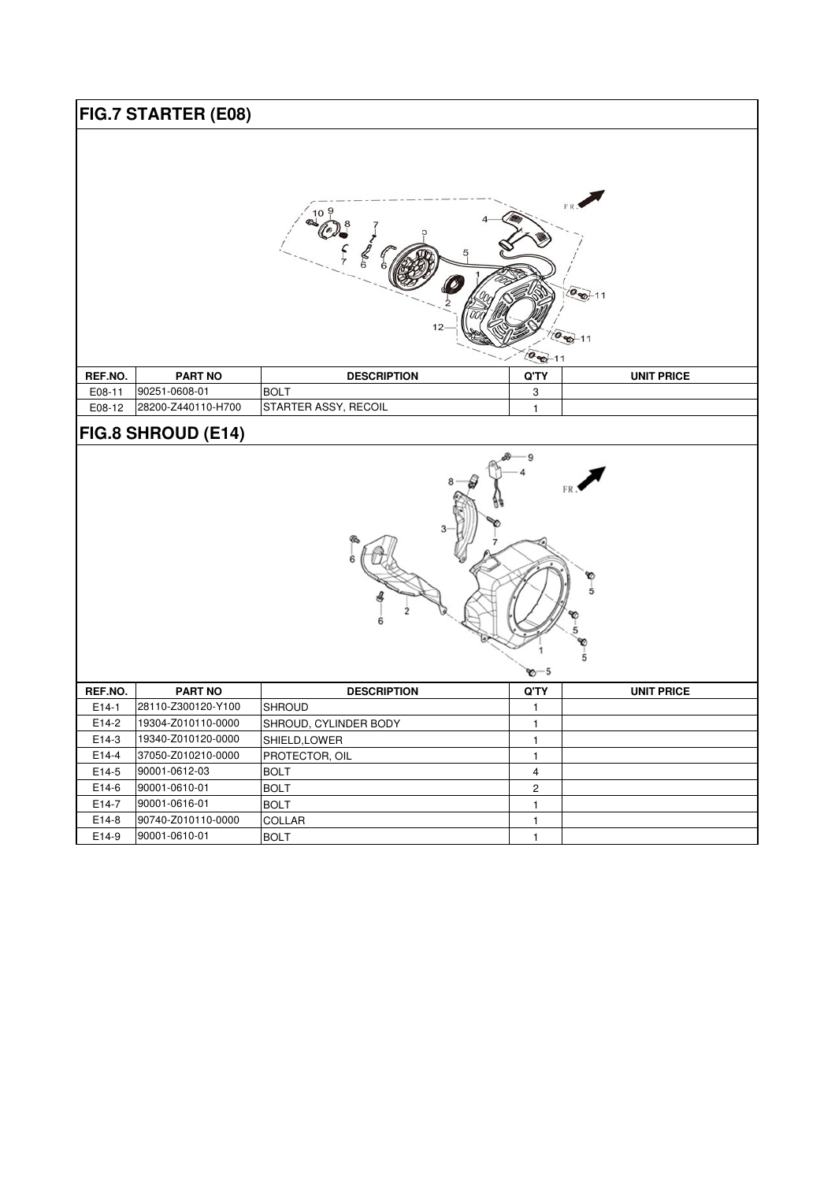|                                             | FIG.7 STARTER (E08)                      |                            |                              |                   |
|---------------------------------------------|------------------------------------------|----------------------------|------------------------------|-------------------|
| $(0, 0)$ 11<br>$2 - 11$<br>$\sqrt{20} - 11$ |                                          |                            |                              |                   |
| REF.NO.                                     | <b>PART NO</b>                           | <b>DESCRIPTION</b>         | Q'TY                         | <b>UNIT PRICE</b> |
| E08-11                                      | 90251-0608-01                            | <b>BOLT</b>                | 3                            |                   |
| E08-12                                      | 28200-Z440110-H700                       | STARTER ASSY, RECOIL       | $\mathbf{1}$                 |                   |
|                                             | FIG.8 SHROUD (E14)                       |                            |                              |                   |
| 5<br>ზ—5                                    |                                          |                            |                              |                   |
| REF.NO.                                     | <b>PART NO</b>                           | <b>DESCRIPTION</b>         | Q'TY                         | <b>UNIT PRICE</b> |
| $E14-1$                                     | 28110-Z300120-Y100                       | <b>SHROUD</b>              | 1                            |                   |
| E14-2                                       | 19304-Z010110-0000                       | SHROUD, CYLINDER BODY      | $\mathbf{1}$                 |                   |
| E14-3                                       | 19340-Z010120-0000<br>37050-Z010210-0000 | SHIELD, LOWER              | $\mathbf{1}$                 |                   |
| E14-4                                       |                                          | PROTECTOR, OIL             | $\mathbf{1}$                 |                   |
|                                             |                                          |                            |                              |                   |
| E14-5                                       | 90001-0612-03                            | <b>BOLT</b>                | $\overline{\mathbf{4}}$      |                   |
| E14-6<br>E14-7                              | 90001-0610-01<br>90001-0616-01           | <b>BOLT</b><br><b>BOLT</b> | $\mathbf{2}$<br>$\mathbf{1}$ |                   |

E14-9 90001-0610-01 BOLT 1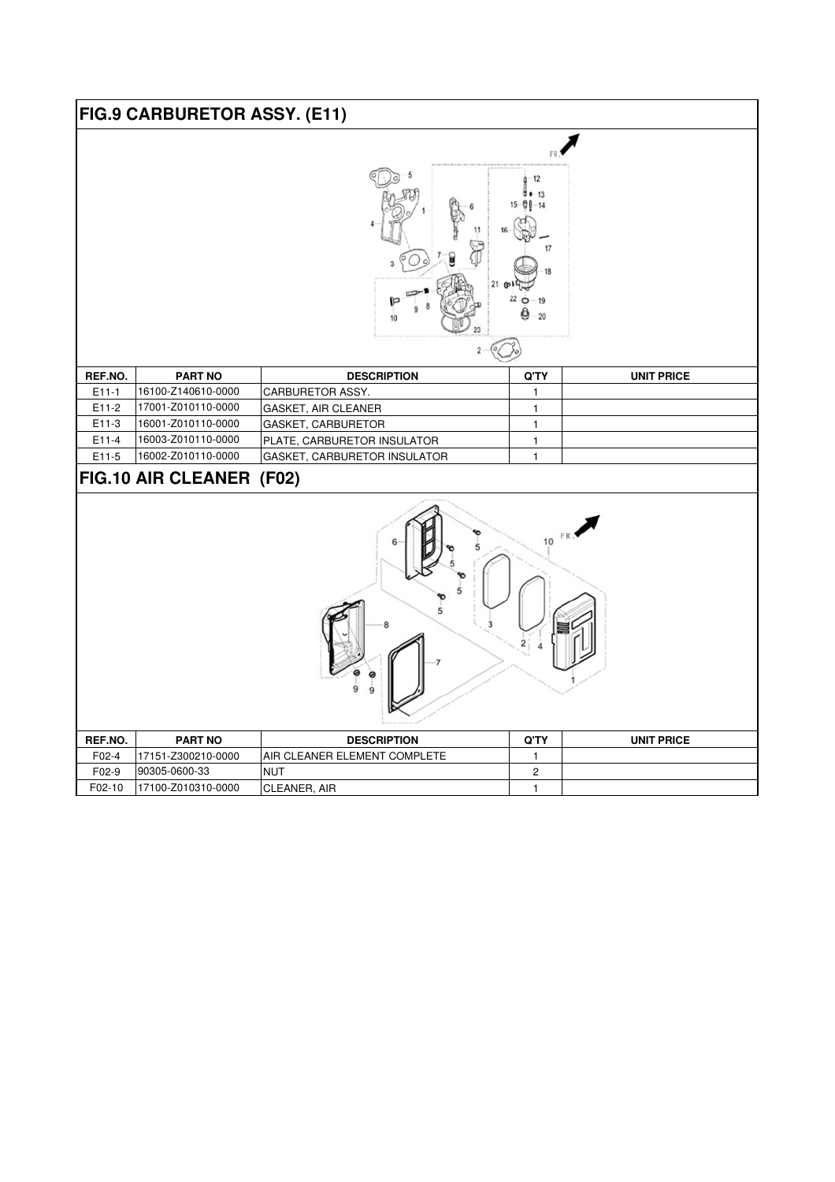|         | FIG.9 CARBURETOR ASSY. (E11) |                              |                                 |                   |
|---------|------------------------------|------------------------------|---------------------------------|-------------------|
|         |                              | 10                           | 17<br>22<br>19<br>$\circ$<br>20 |                   |
|         |                              |                              |                                 |                   |
| REF.NO. | <b>PART NO</b>               | <b>DESCRIPTION</b>           | Q'TY                            | <b>UNIT PRICE</b> |
| $E11-1$ | 16100-Z140610-0000           | CARBURETOR ASSY.             | $\mathbf{1}$                    |                   |
| E11-2   | 17001-Z010110-0000           | GASKET, AIR CLEANER          | $\mathbf{1}$                    |                   |
| E11-3   | 16001-Z010110-0000           | GASKET, CARBURETOR           | $\mathbf{1}$                    |                   |
| E11-4   | 16003-Z010110-0000           | PLATE, CARBURETOR INSULATOR  | $\mathbf{1}$                    |                   |
| E11-5   | 16002-Z010110-0000           | GASKET, CARBURETOR INSULATOR | $\mathbf{1}$                    |                   |
|         | FIG.10 AIR CLEANER (F02)     |                              |                                 |                   |
| 10      |                              |                              |                                 |                   |
| DEE MA  | <b>DADT NO</b>               | <b>DEOODIDTIO</b>            | $\sim$                          | 1111707000        |

| REF.NO. | <b>PART NO</b>     | <b>DESCRIPTION</b>                   | Q'TY | <b>UNIT PRICE</b> |
|---------|--------------------|--------------------------------------|------|-------------------|
| $F02-4$ | 17151-Z300210-0000 | <b>JAIR CLEANER ELEMENT COMPLETE</b> |      |                   |
| $F02-9$ | 90305-0600-33      | <b>NUT</b>                           |      |                   |
| F02-10  | 17100-Z010310-0000 | ICLEANER.<br>AIR                     |      |                   |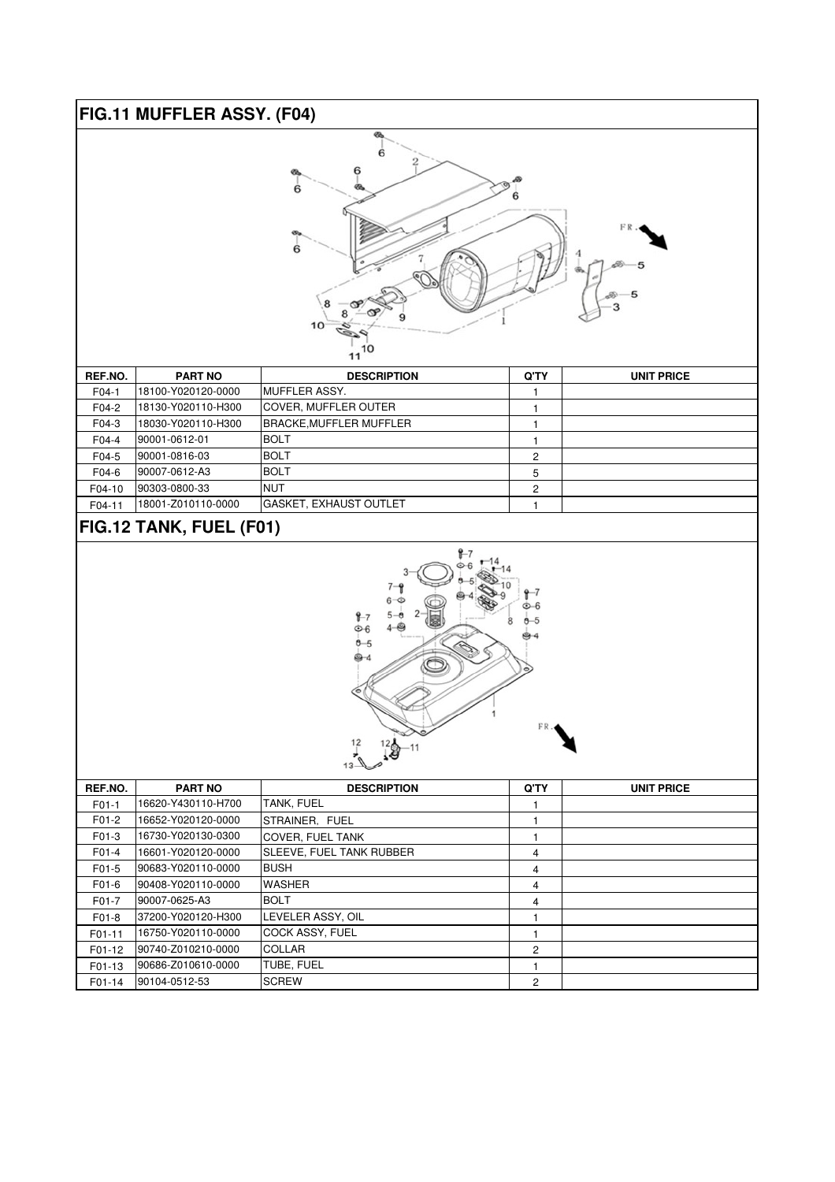## **FIG.11 MUFFLER ASSY. (F04)**



| REF.NO. | <b>PART NO</b>     | <b>DESCRIPTION</b>             | Q'TY           | <b>UNIT PRICE</b> |
|---------|--------------------|--------------------------------|----------------|-------------------|
| $F04-1$ | 18100-Y020120-0000 | IMUFFLER ASSY.                 |                |                   |
| F04-2   | 18130-Y020110-H300 | ICOVER. MUFFLER OUTER          |                |                   |
| F04-3   | 18030-Y020110-H300 | <b>BRACKE, MUFFLER MUFFLER</b> |                |                   |
| F04-4   | 90001-0612-01      | <b>IBOLT</b>                   |                |                   |
| F04-5   | 90001-0816-03      | <b>BOLT</b>                    | $\overline{2}$ |                   |
| F04-6   | 90007-0612-A3      | <b>BOLT</b>                    | 5              |                   |
| F04-10  | 90303-0800-33      | <b>NUT</b>                     | $\overline{2}$ |                   |
| F04-11  | 18001-Z010110-0000 | GASKET, EXHAUST OUTLET         |                |                   |

## **FIG.12 TANK, FUEL (F01)**



| REF.NO. | <b>PART NO</b>     | <b>DESCRIPTION</b>       | Q'TY           | <b>UNIT PRICE</b> |
|---------|--------------------|--------------------------|----------------|-------------------|
|         |                    |                          |                |                   |
| $F01-1$ | 16620-Y430110-H700 | <b>TANK, FUEL</b>        |                |                   |
| F01-2   | 16652-Y020120-0000 | STRAINER, FUEL           |                |                   |
| F01-3   | 16730-Y020130-0300 | <b>COVER. FUEL TANK</b>  |                |                   |
| F01-4   | 16601-Y020120-0000 | SLEEVE, FUEL TANK RUBBER | 4              |                   |
| $F01-5$ | 90683-Y020110-0000 | <b>BUSH</b>              | 4              |                   |
| F01-6   | 90408-Y020110-0000 | <b>WASHER</b>            | $\overline{4}$ |                   |
| $F01-7$ | 90007-0625-A3      | <b>BOLT</b>              | 4              |                   |
| F01-8   | 37200-Y020120-H300 | LEVELER ASSY, OIL        |                |                   |
| F01-11  | 16750-Y020110-0000 | <b>COCK ASSY, FUEL</b>   |                |                   |
| F01-12  | 90740-Z010210-0000 | <b>COLLAR</b>            | 2              |                   |
| F01-13  | 90686-Z010610-0000 | <b>TUBE, FUEL</b>        |                |                   |
| F01-14  | 90104-0512-53      | <b>SCREW</b>             | 2              |                   |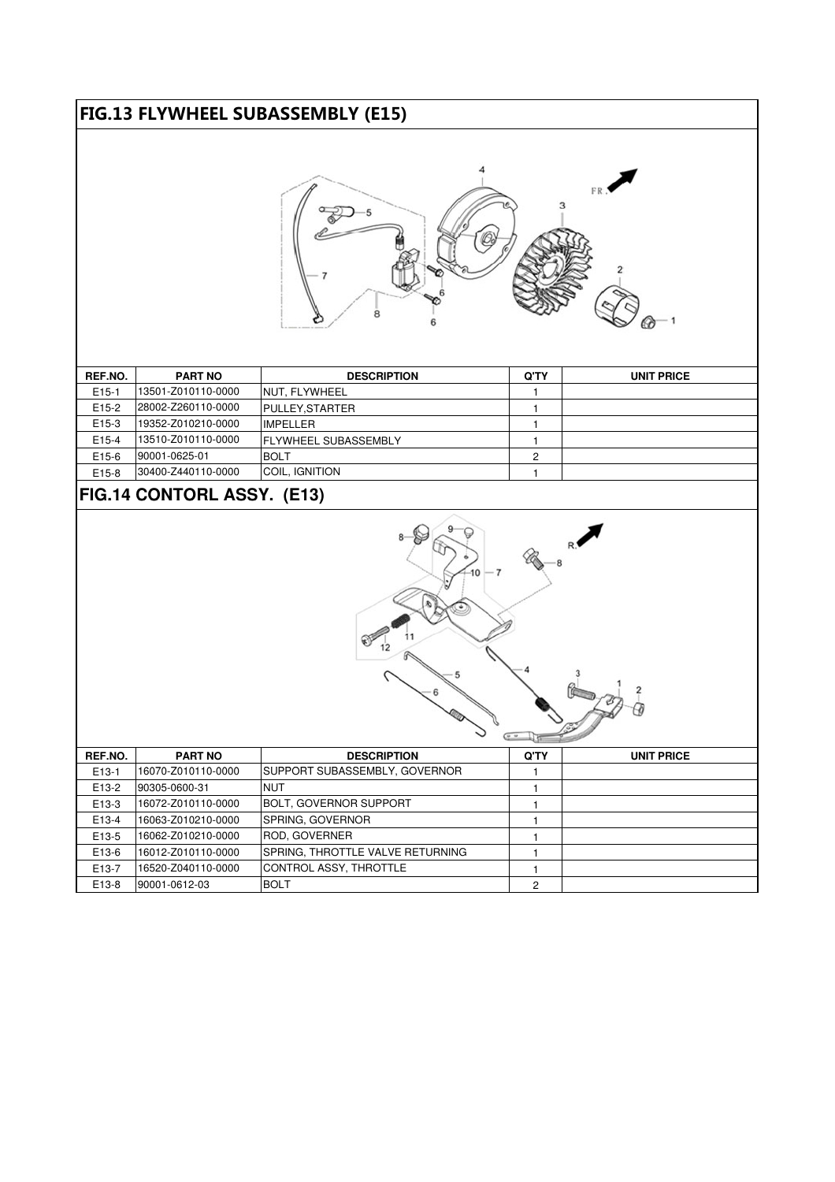## FIG.13 FLYWHEEL SUBASSEMBLY (E15)



| REF.NO.            | <b>PART NO</b>     | <b>DESCRIPTION</b>           | Q'TY | <b>UNIT PRICE</b> |
|--------------------|--------------------|------------------------------|------|-------------------|
| $E15-1$            | 13501-Z010110-0000 | INUT. FLYWHEEL               |      |                   |
| E <sub>15</sub> -2 | 28002-Z260110-0000 | <b>PULLEY.STARTER</b>        |      |                   |
| E <sub>15</sub> -3 | 19352-Z010210-0000 | <b>IMPELLER</b>              |      |                   |
| E15-4              | 13510-Z010110-0000 | <b>IFLYWHEEL SUBASSEMBLY</b> |      |                   |
| E15-6              | 90001-0625-01      | <b>BOLT</b>                  |      |                   |
| E <sub>15</sub> -8 | 30400-Z440110-0000 | COIL, IGNITION               |      |                   |

## **FIG.14 CONTORL ASSY. (E13)**



| REF.NO.            | <b>PART NO</b>     | <b>DESCRIPTION</b>               | Q'TY           | <b>UNIT PRICE</b> |
|--------------------|--------------------|----------------------------------|----------------|-------------------|
| E13-1              | 16070-Z010110-0000 | SUPPORT SUBASSEMBLY, GOVERNOR    |                |                   |
| E13-2              | 90305-0600-31      | <b>NUT</b>                       |                |                   |
| E <sub>13</sub> -3 | 16072-Z010110-0000 | <b>BOLT. GOVERNOR SUPPORT</b>    |                |                   |
| E13-4              | 16063-Z010210-0000 | SPRING, GOVERNOR                 |                |                   |
| E13-5              | 16062-Z010210-0000 | <b>ROD. GOVERNER</b>             |                |                   |
| E13-6              | 16012-Z010110-0000 | SPRING, THROTTLE VALVE RETURNING |                |                   |
| E13-7              | 16520-Z040110-0000 | CONTROL ASSY, THROTTLE           |                |                   |
| E13-8              | 90001-0612-03      | <b>BOLT</b>                      | $\overline{2}$ |                   |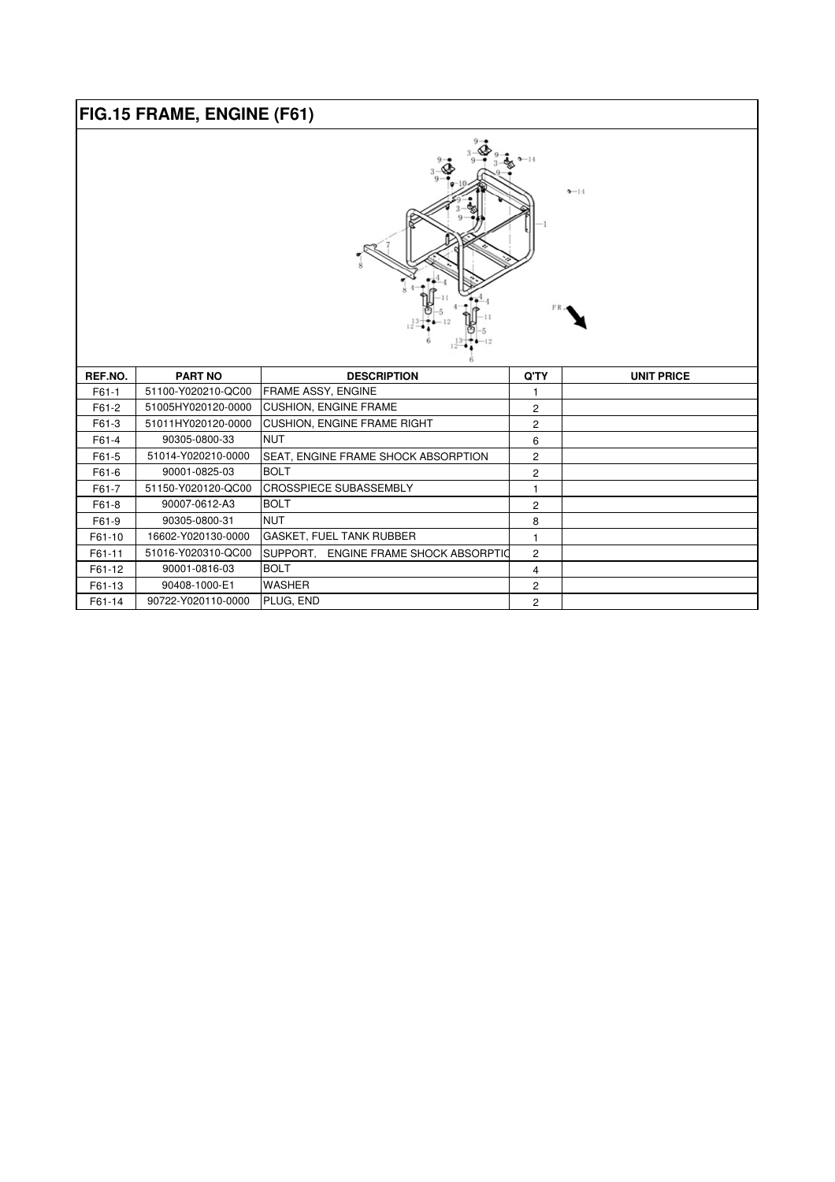## **FIG.15 FRAME, ENGINE (F61)**



| REF.NO. | <b>PART NO</b>     | <b>DESCRIPTION</b>                    | Q'TY           | <b>UNIT PRICE</b> |  |
|---------|--------------------|---------------------------------------|----------------|-------------------|--|
| $F61-1$ | 51100-Y020210-QC00 | FRAME ASSY, ENGINE                    |                |                   |  |
| F61-2   | 51005HY020120-0000 | <b>CUSHION, ENGINE FRAME</b>          | 2              |                   |  |
| F61-3   | 51011HY020120-0000 | <b>CUSHION, ENGINE FRAME RIGHT</b>    | 2              |                   |  |
| F61-4   | 90305-0800-33      | <b>NUT</b>                            | 6              |                   |  |
| F61-5   | 51014-Y020210-0000 | SEAT, ENGINE FRAME SHOCK ABSORPTION   | $\overline{2}$ |                   |  |
| F61-6   | 90001-0825-03      | <b>BOLT</b>                           | 2              |                   |  |
| F61-7   | 51150-Y020120-QC00 | <b>CROSSPIECE SUBASSEMBLY</b>         |                |                   |  |
| F61-8   | 90007-0612-A3      | <b>BOLT</b>                           | 2              |                   |  |
| F61-9   | 90305-0800-31      | <b>NUT</b>                            | 8              |                   |  |
| F61-10  | 16602-Y020130-0000 | <b>GASKET, FUEL TANK RUBBER</b>       |                |                   |  |
| F61-11  | 51016-Y020310-QC00 | SUPPORT, ENGINE FRAME SHOCK ABSORPTIO | $\overline{2}$ |                   |  |
| F61-12  | 90001-0816-03      | <b>BOLT</b>                           | 4              |                   |  |
| F61-13  | 90408-1000-E1      | <b>WASHER</b>                         | $\overline{2}$ |                   |  |
| F61-14  | 90722-Y020110-0000 | PLUG, END                             | 2              |                   |  |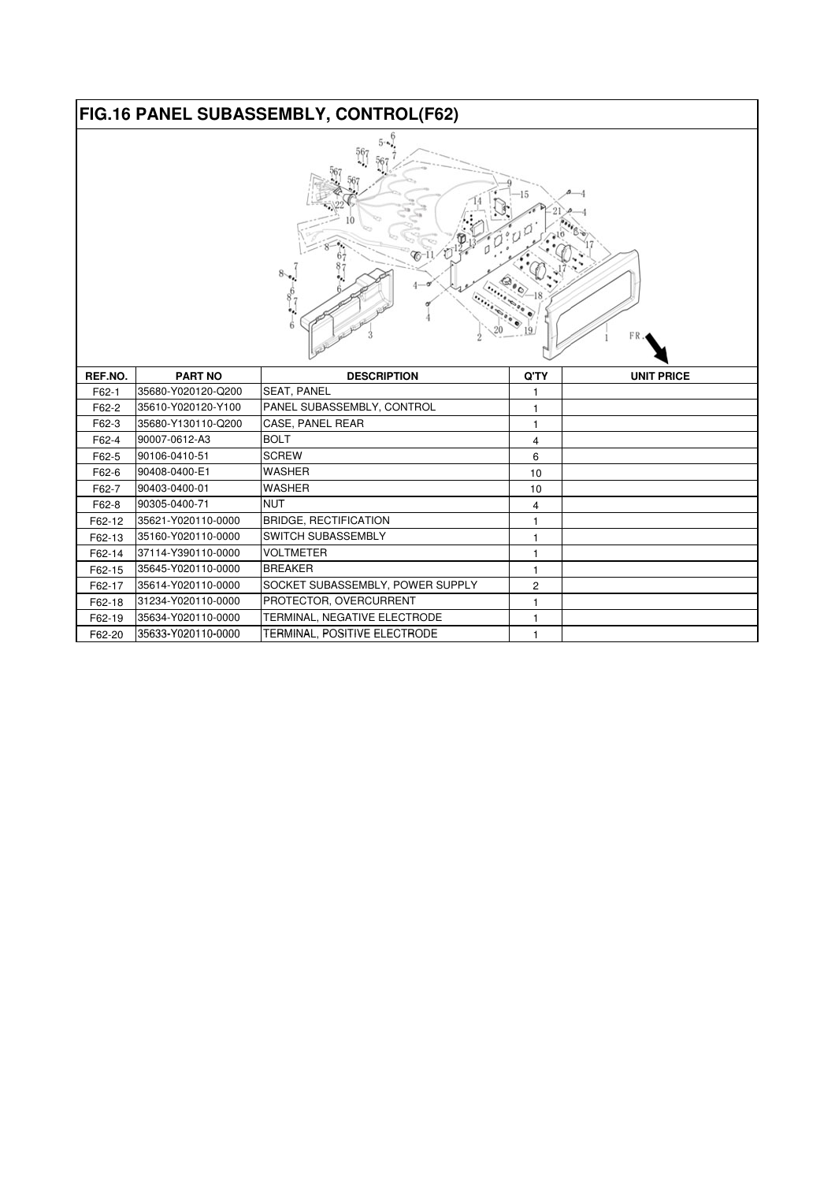# **FIG.16 PANEL SUBASSEMBLY, CONTROL(F62)**

| 5.      |                    |                                  |              |                   |  |
|---------|--------------------|----------------------------------|--------------|-------------------|--|
| REF.NO. | <b>PART NO</b>     | <b>DESCRIPTION</b>               | Q'TY         | <b>UNIT PRICE</b> |  |
| F62-1   | 35680-Y020120-Q200 | <b>SEAT, PANEL</b>               | 1            |                   |  |
| F62-2   | 35610-Y020120-Y100 | PANEL SUBASSEMBLY, CONTROL       | 1            |                   |  |
| F62-3   | 35680-Y130110-Q200 | CASE, PANEL REAR                 | 1            |                   |  |
| F62-4   | 90007-0612-A3      | <b>BOLT</b>                      | 4            |                   |  |
| F62-5   | 90106-0410-51      | <b>SCREW</b>                     | 6            |                   |  |
| F62-6   | 90408-0400-E1      | <b>WASHER</b>                    | 10           |                   |  |
| F62-7   | 90403-0400-01      | <b>WASHER</b>                    | 10           |                   |  |
| F62-8   | 90305-0400-71      | <b>NUT</b>                       | 4            |                   |  |
| F62-12  | 35621-Y020110-0000 | <b>BRIDGE, RECTIFICATION</b>     | 1            |                   |  |
| F62-13  | 35160-Y020110-0000 | SWITCH SUBASSEMBLY               | 1            |                   |  |
| F62-14  | 37114-Y390110-0000 | <b>VOLTMETER</b>                 | 1            |                   |  |
| F62-15  | 35645-Y020110-0000 | <b>BREAKER</b>                   | $\mathbf{1}$ |                   |  |
| F62-17  | 35614-Y020110-0000 | SOCKET SUBASSEMBLY, POWER SUPPLY | 2            |                   |  |
| F62-18  | 31234-Y020110-0000 | PROTECTOR, OVERCURRENT           | 1            |                   |  |
| F62-19  | 35634-Y020110-0000 | TERMINAL, NEGATIVE ELECTRODE     | 1            |                   |  |
| F62-20  | 35633-Y020110-0000 | TERMINAL, POSITIVE ELECTRODE     | 1            |                   |  |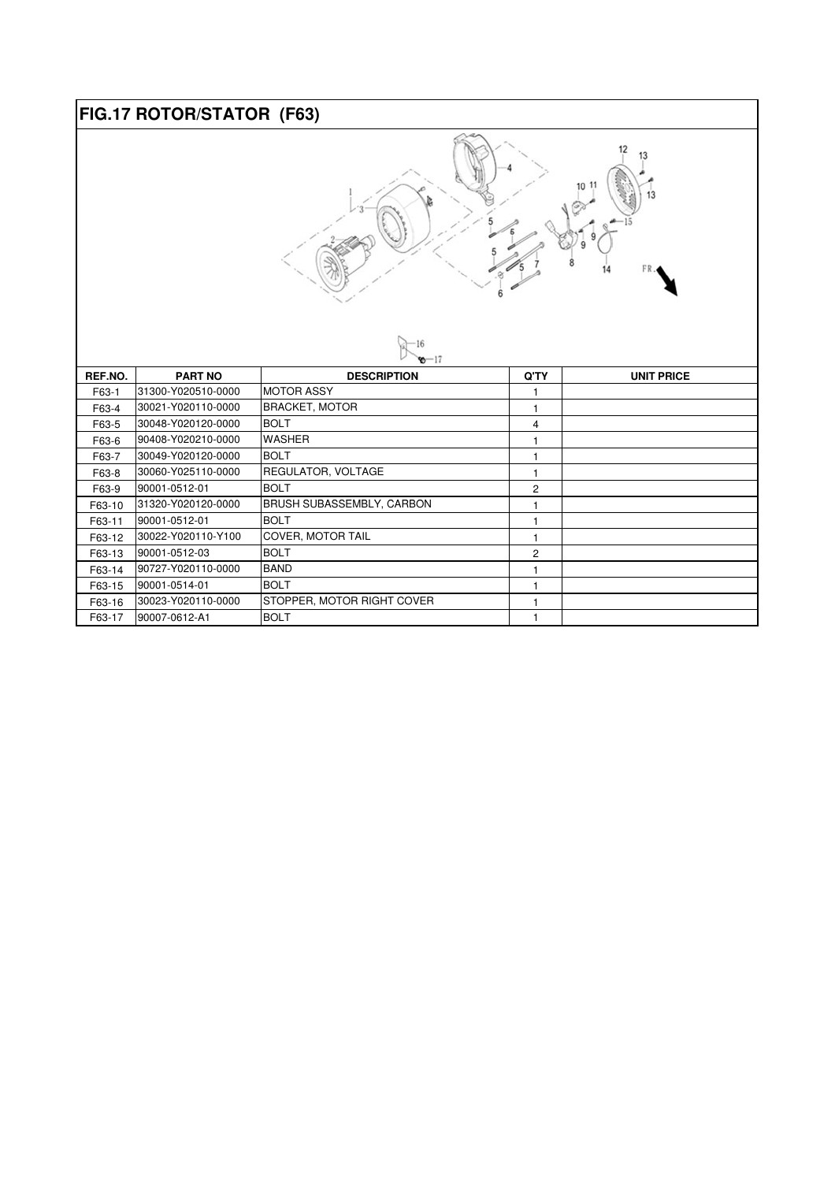#### **FIG.17 ROTOR/STATOR (F63)**



| $8 - 17$ |                     |                                  |      |                   |  |
|----------|---------------------|----------------------------------|------|-------------------|--|
| REF.NO.  | <b>PART NO</b>      | <b>DESCRIPTION</b>               | Q'TY | <b>UNIT PRICE</b> |  |
| F63-1    | 31300-Y020510-0000  | <b>MOTOR ASSY</b>                |      |                   |  |
| F63-4    | 30021-Y020110-0000  | <b>BRACKET, MOTOR</b>            |      |                   |  |
| F63-5    | 30048-Y020120-0000  | <b>BOLT</b>                      | 4    |                   |  |
| F63-6    | 90408-Y020210-0000  | <b>WASHER</b>                    |      |                   |  |
| F63-7    | I30049-Y020120-0000 | <b>BOLT</b>                      |      |                   |  |
| F63-8    | I30060-Y025110-0000 | REGULATOR, VOLTAGE               |      |                   |  |
| F63-9    | 90001-0512-01       | <b>BOLT</b>                      | 2    |                   |  |
| F63-10   | l31320-Y020120-0000 | <b>BRUSH SUBASSEMBLY, CARBON</b> |      |                   |  |
| F63-11   | 90001-0512-01       | <b>BOLT</b>                      |      |                   |  |
| F63-12   | I30022-Y020110-Y100 | <b>COVER, MOTOR TAIL</b>         |      |                   |  |
| F63-13   | 90001-0512-03       | <b>BOLT</b>                      | 2    |                   |  |
| F63-14   | 90727-Y020110-0000  | <b>BAND</b>                      |      |                   |  |
| F63-15   | 90001-0514-01       | <b>BOLT</b>                      |      |                   |  |
| F63-16   | 30023-Y020110-0000  | STOPPER, MOTOR RIGHT COVER       |      |                   |  |
| F63-17   | 90007-0612-A1       | <b>BOLT</b>                      |      |                   |  |